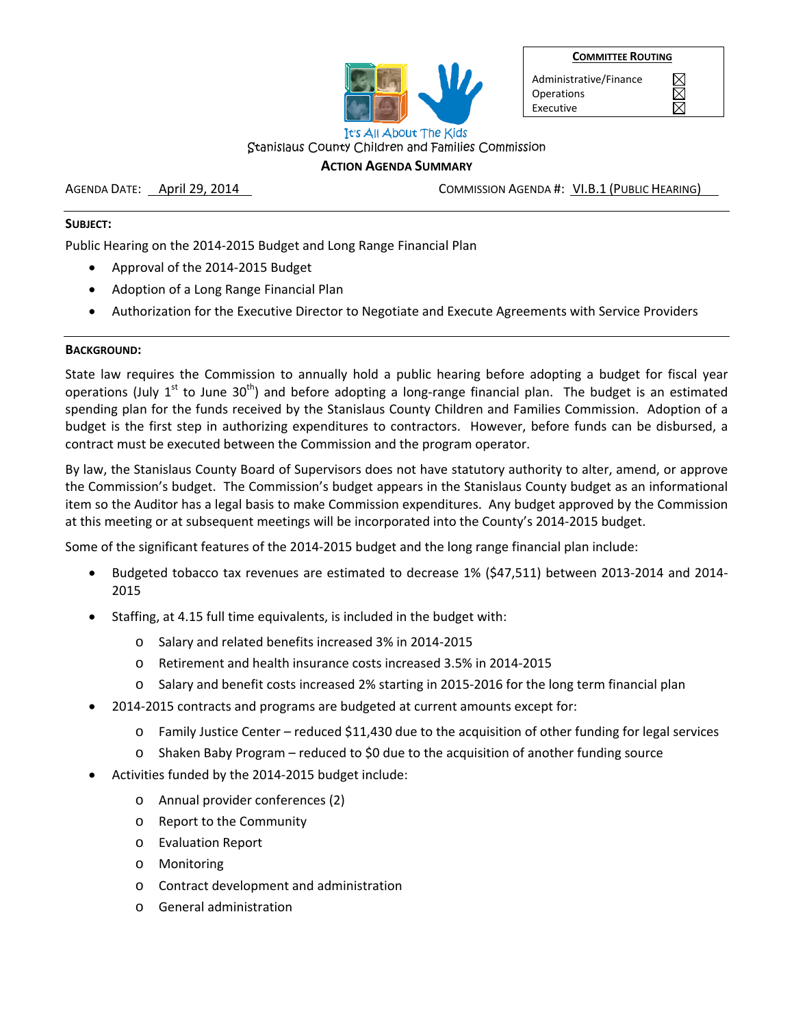|  |  | <b>COMMITTEE ROUTING</b> |  |  |
|--|--|--------------------------|--|--|
|  |  |                          |  |  |



Administrative/Finance **Operations** Executive

 $\boxtimes$  $\boxtimes$ 

#### Stanislaus County Children and Families Commission **ACTION AGENDA SUMMARY**

AGENDA DATE: April 29, 2014 COMMISSION AGENDA #: VI.B.1 (PUBLIC HEARING)

# **SUBJECT:**

Public Hearing on the 2014‐2015 Budget and Long Range Financial Plan

- Approval of the 2014‐2015 Budget
- Adoption of a Long Range Financial Plan
- Authorization for the Executive Director to Negotiate and Execute Agreements with Service Providers

### **BACKGROUND:**

State law requires the Commission to annually hold a public hearing before adopting a budget for fiscal year operations (July  $1^{st}$  to June 30<sup>th</sup>) and before adopting a long-range financial plan. The budget is an estimated spending plan for the funds received by the Stanislaus County Children and Families Commission. Adoption of a budget is the first step in authorizing expenditures to contractors. However, before funds can be disbursed, a contract must be executed between the Commission and the program operator.

By law, the Stanislaus County Board of Supervisors does not have statutory authority to alter, amend, or approve the Commission's budget. The Commission's budget appears in the Stanislaus County budget as an informational item so the Auditor has a legal basis to make Commission expenditures. Any budget approved by the Commission at this meeting or at subsequent meetings will be incorporated into the County's 2014‐2015 budget.

Some of the significant features of the 2014‐2015 budget and the long range financial plan include:

- Budgeted tobacco tax revenues are estimated to decrease 1% (\$47,511) between 2013‐2014 and 2014‐ 2015
- Staffing, at 4.15 full time equivalents, is included in the budget with:
	- o Salary and related benefits increased 3% in 2014‐2015
	- o Retirement and health insurance costs increased 3.5% in 2014‐2015
	- o Salary and benefit costs increased 2% starting in 2015‐2016 for the long term financial plan
- 2014‐2015 contracts and programs are budgeted at current amounts except for:
	- $\circ$  Family Justice Center reduced \$11,430 due to the acquisition of other funding for legal services
	- o Shaken Baby Program reduced to \$0 due to the acquisition of another funding source
- Activities funded by the 2014‐2015 budget include:
	- o Annual provider conferences (2)
	- o Report to the Community
	- o Evaluation Report
	- o Monitoring
	- o Contract development and administration
	- General administration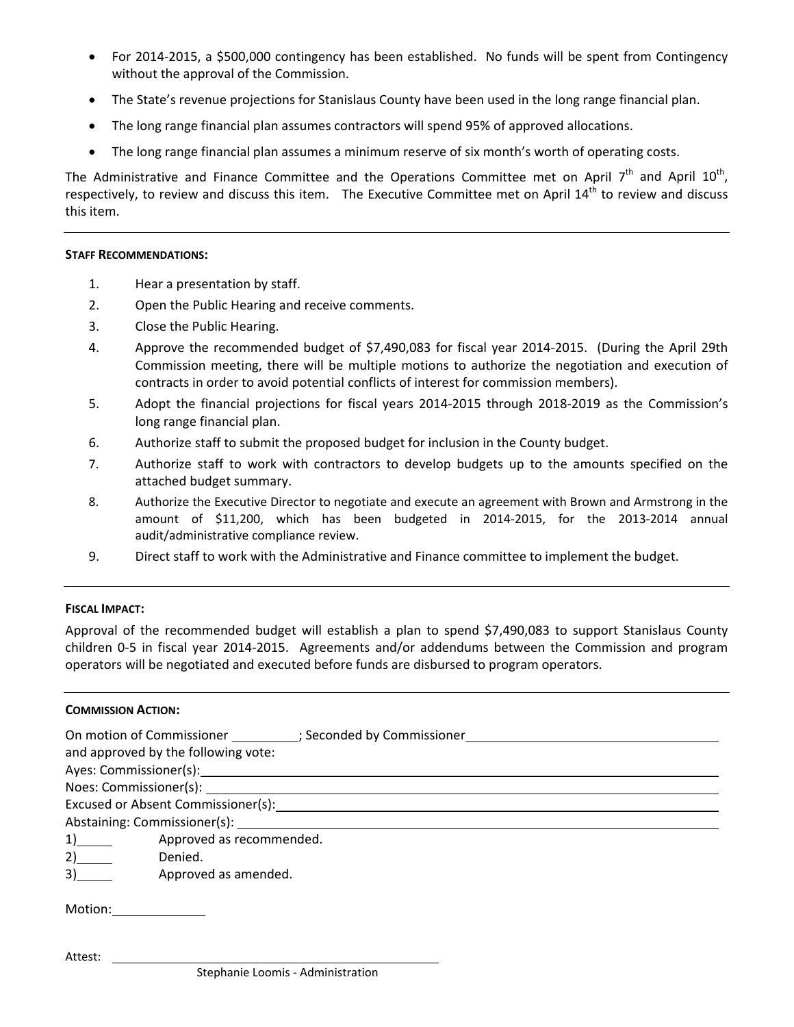- For 2014‐2015, a \$500,000 contingency has been established. No funds will be spent from Contingency without the approval of the Commission.
- The State's revenue projections for Stanislaus County have been used in the long range financial plan.
- The long range financial plan assumes contractors will spend 95% of approved allocations.
- The long range financial plan assumes a minimum reserve of six month's worth of operating costs.

The Administrative and Finance Committee and the Operations Committee met on April  $7<sup>th</sup>$  and April 10<sup>th</sup>, respectively, to review and discuss this item. The Executive Committee met on April 14<sup>th</sup> to review and discuss this item.

#### **STAFF RECOMMENDATIONS:**

- 1. Hear a presentation by staff.
- 2. Open the Public Hearing and receive comments.
- 3. Close the Public Hearing.
- 4. Approve the recommended budget of \$7,490,083 for fiscal year 2014‐2015. (During the April 29th Commission meeting, there will be multiple motions to authorize the negotiation and execution of contracts in order to avoid potential conflicts of interest for commission members).
- 5. Adopt the financial projections for fiscal years 2014‐2015 through 2018‐2019 as the Commission's long range financial plan.
- 6. Authorize staff to submit the proposed budget for inclusion in the County budget.
- 7. Authorize staff to work with contractors to develop budgets up to the amounts specified on the attached budget summary.
- 8. Authorize the Executive Director to negotiate and execute an agreement with Brown and Armstrong in the amount of \$11,200, which has been budgeted in 2014‐2015, for the 2013‐2014 annual audit/administrative compliance review.
- 9. Direct staff to work with the Administrative and Finance committee to implement the budget.

# **FISCAL IMPACT:**

Approval of the recommended budget will establish a plan to spend \$7,490,083 to support Stanislaus County children 0-5 in fiscal year 2014-2015. Agreements and/or addendums between the Commission and program operators will be negotiated and executed before funds are disbursed to program operators.

# **COMMISSION ACTION:**

| On motion of Commissioner (3) Seconded by Commissioner         |  |
|----------------------------------------------------------------|--|
| and approved by the following vote:                            |  |
|                                                                |  |
|                                                                |  |
|                                                                |  |
|                                                                |  |
| $1)$ and $\overline{\phantom{a}1}$<br>Approved as recommended. |  |
| $2)$ and $2$<br>Denied.                                        |  |
| 3)<br>Approved as amended.                                     |  |
| Motion:______________                                          |  |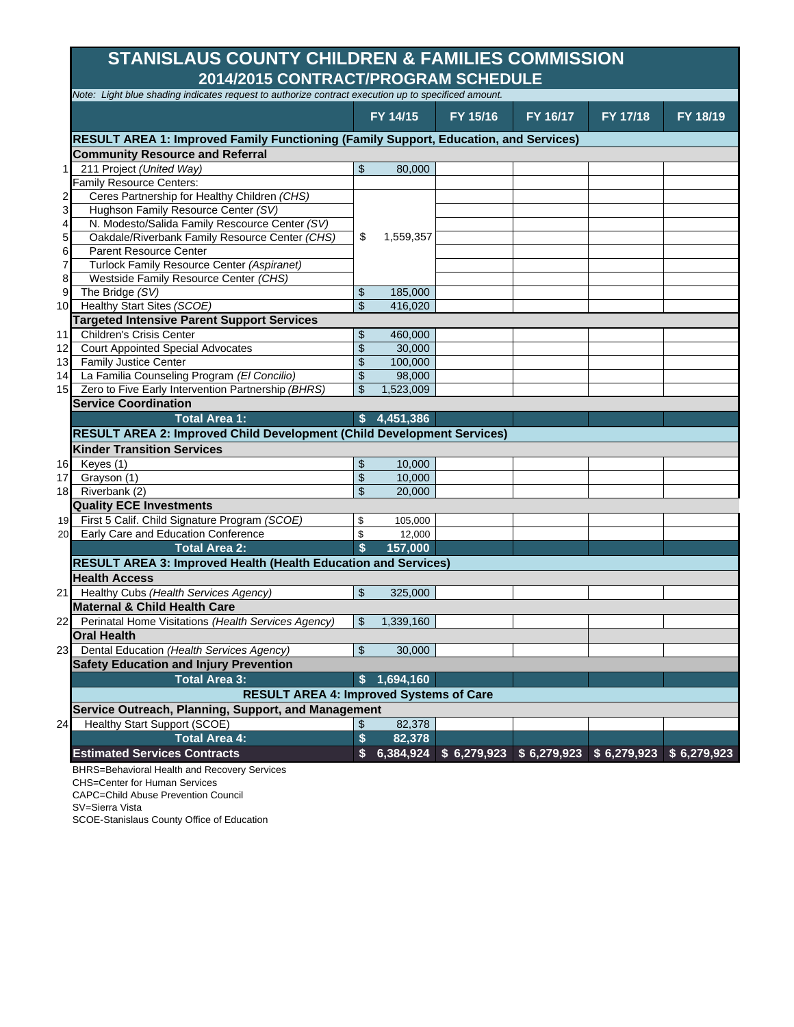# **2014/2015 CONTRACT/PROGRAM SCHEDULE STANISLAUS COUNTY CHILDREN & FAMILIES COMMISSION**

|                         |                                                                                      | Note: Light blue shading indicates request to authorize contract execution up to specificed amount. |           |          |                                                     |          |          |  |  |  |  |
|-------------------------|--------------------------------------------------------------------------------------|-----------------------------------------------------------------------------------------------------|-----------|----------|-----------------------------------------------------|----------|----------|--|--|--|--|
|                         |                                                                                      |                                                                                                     | FY 14/15  | FY 15/16 | FY 16/17                                            | FY 17/18 | FY 18/19 |  |  |  |  |
|                         | RESULT AREA 1: Improved Family Functioning (Family Support, Education, and Services) |                                                                                                     |           |          |                                                     |          |          |  |  |  |  |
|                         | <b>Community Resource and Referral</b>                                               |                                                                                                     |           |          |                                                     |          |          |  |  |  |  |
| 11                      | 211 Project (United Way)                                                             | \$                                                                                                  | 80.000    |          |                                                     |          |          |  |  |  |  |
|                         | Family Resource Centers:                                                             |                                                                                                     |           |          |                                                     |          |          |  |  |  |  |
| $\overline{c}$          | Ceres Partnership for Healthy Children (CHS)                                         |                                                                                                     |           |          |                                                     |          |          |  |  |  |  |
| $\overline{\mathbf{3}}$ | Hughson Family Resource Center (SV)                                                  |                                                                                                     |           |          |                                                     |          |          |  |  |  |  |
| $\overline{4}$          | N. Modesto/Salida Family Rescource Center (SV)                                       |                                                                                                     |           |          |                                                     |          |          |  |  |  |  |
| 5 <sub>l</sub>          | Oakdale/Riverbank Family Resource Center (CHS)                                       | \$                                                                                                  | 1,559,357 |          |                                                     |          |          |  |  |  |  |
| 6                       | <b>Parent Resource Center</b>                                                        |                                                                                                     |           |          |                                                     |          |          |  |  |  |  |
| $\overline{7}$          | Turlock Family Resource Center (Aspiranet)                                           |                                                                                                     |           |          |                                                     |          |          |  |  |  |  |
| 8                       | Westside Family Resource Center (CHS)                                                |                                                                                                     |           |          |                                                     |          |          |  |  |  |  |
| 9                       | The Bridge (SV)                                                                      | \$                                                                                                  | 185,000   |          |                                                     |          |          |  |  |  |  |
| 10                      | Healthy Start Sites (SCOE)                                                           | \$                                                                                                  | 416,020   |          |                                                     |          |          |  |  |  |  |
|                         | <b>Targeted Intensive Parent Support Services</b>                                    |                                                                                                     |           |          |                                                     |          |          |  |  |  |  |
| 11                      | <b>Children's Crisis Center</b>                                                      | \$                                                                                                  | 460,000   |          |                                                     |          |          |  |  |  |  |
|                         | 12 Court Appointed Special Advocates                                                 | \$                                                                                                  | 30,000    |          |                                                     |          |          |  |  |  |  |
|                         | 13 Family Justice Center                                                             | \$                                                                                                  | 100,000   |          |                                                     |          |          |  |  |  |  |
|                         | 14 La Familia Counseling Program (El Concilio)                                       | \$                                                                                                  | 98,000    |          |                                                     |          |          |  |  |  |  |
|                         | 15 Zero to Five Early Intervention Partnership (BHRS)                                | \$                                                                                                  | 1.523.009 |          |                                                     |          |          |  |  |  |  |
|                         | <b>Service Coordination</b>                                                          |                                                                                                     |           |          |                                                     |          |          |  |  |  |  |
|                         | <b>Total Area 1:</b>                                                                 |                                                                                                     |           |          |                                                     |          |          |  |  |  |  |
|                         |                                                                                      | S.                                                                                                  | 4,451,386 |          |                                                     |          |          |  |  |  |  |
|                         | <b>RESULT AREA 2: Improved Child Development (Child Development Services)</b>        |                                                                                                     |           |          |                                                     |          |          |  |  |  |  |
|                         | <b>Kinder Transition Services</b>                                                    |                                                                                                     |           |          |                                                     |          |          |  |  |  |  |
|                         | 16 Keyes (1)                                                                         | \$                                                                                                  | 10,000    |          |                                                     |          |          |  |  |  |  |
|                         | 17 Grayson (1)                                                                       | \$                                                                                                  | 10,000    |          |                                                     |          |          |  |  |  |  |
|                         | 18 Riverbank (2)                                                                     | \$                                                                                                  | 20,000    |          |                                                     |          |          |  |  |  |  |
|                         | <b>Quality ECE Investments</b>                                                       |                                                                                                     |           |          |                                                     |          |          |  |  |  |  |
|                         | 19 First 5 Calif. Child Signature Program (SCOE)                                     | \$                                                                                                  | 105,000   |          |                                                     |          |          |  |  |  |  |
|                         | 20 Early Care and Education Conference                                               | \$                                                                                                  | 12,000    |          |                                                     |          |          |  |  |  |  |
|                         | <b>Total Area 2:</b>                                                                 | \$                                                                                                  | 157,000   |          |                                                     |          |          |  |  |  |  |
|                         | <b>RESULT AREA 3: Improved Health (Health Education and Services)</b>                |                                                                                                     |           |          |                                                     |          |          |  |  |  |  |
|                         | <b>Health Access</b>                                                                 |                                                                                                     |           |          |                                                     |          |          |  |  |  |  |
|                         | 21 Healthy Cubs (Health Services Agency)                                             | \$                                                                                                  | 325,000   |          |                                                     |          |          |  |  |  |  |
|                         | <b>Maternal &amp; Child Health Care</b>                                              |                                                                                                     |           |          |                                                     |          |          |  |  |  |  |
|                         | 22 Perinatal Home Visitations (Health Services Agency)                               | \$                                                                                                  | 1,339,160 |          |                                                     |          |          |  |  |  |  |
|                         | <b>Oral Health</b>                                                                   |                                                                                                     |           |          |                                                     |          |          |  |  |  |  |
|                         |                                                                                      | \$                                                                                                  | 30.000    |          |                                                     |          |          |  |  |  |  |
|                         | 23 Dental Education (Health Services Agency)                                         |                                                                                                     |           |          |                                                     |          |          |  |  |  |  |
|                         | <b>Safety Education and Injury Prevention</b>                                        |                                                                                                     |           |          |                                                     |          |          |  |  |  |  |
|                         | <b>Total Area 3:</b>                                                                 | \$                                                                                                  | 1,694,160 |          |                                                     |          |          |  |  |  |  |
|                         | <b>RESULT AREA 4: Improved Systems of Care</b>                                       |                                                                                                     |           |          |                                                     |          |          |  |  |  |  |
|                         | Service Outreach, Planning, Support, and Management                                  |                                                                                                     |           |          |                                                     |          |          |  |  |  |  |
| 24                      | <b>Healthy Start Support (SCOE)</b>                                                  | \$                                                                                                  | 82,378    |          |                                                     |          |          |  |  |  |  |
|                         | <b>Total Area 4:</b>                                                                 | \$                                                                                                  | 82,378    |          |                                                     |          |          |  |  |  |  |
|                         | <b>Estimated Services Contracts</b>                                                  | \$                                                                                                  | 6,384,924 |          | $$6,279,923$ $$6,279,923$ $$6,279,923$ $$6,279,923$ |          |          |  |  |  |  |
|                         | BHRS=Behavioral Health and Recovery Services                                         |                                                                                                     |           |          |                                                     |          |          |  |  |  |  |

CHS=Center for Human Services

CAPC=Child Abuse Prevention Council

SV=Sierra Vista

SCOE-Stanislaus County Office of Education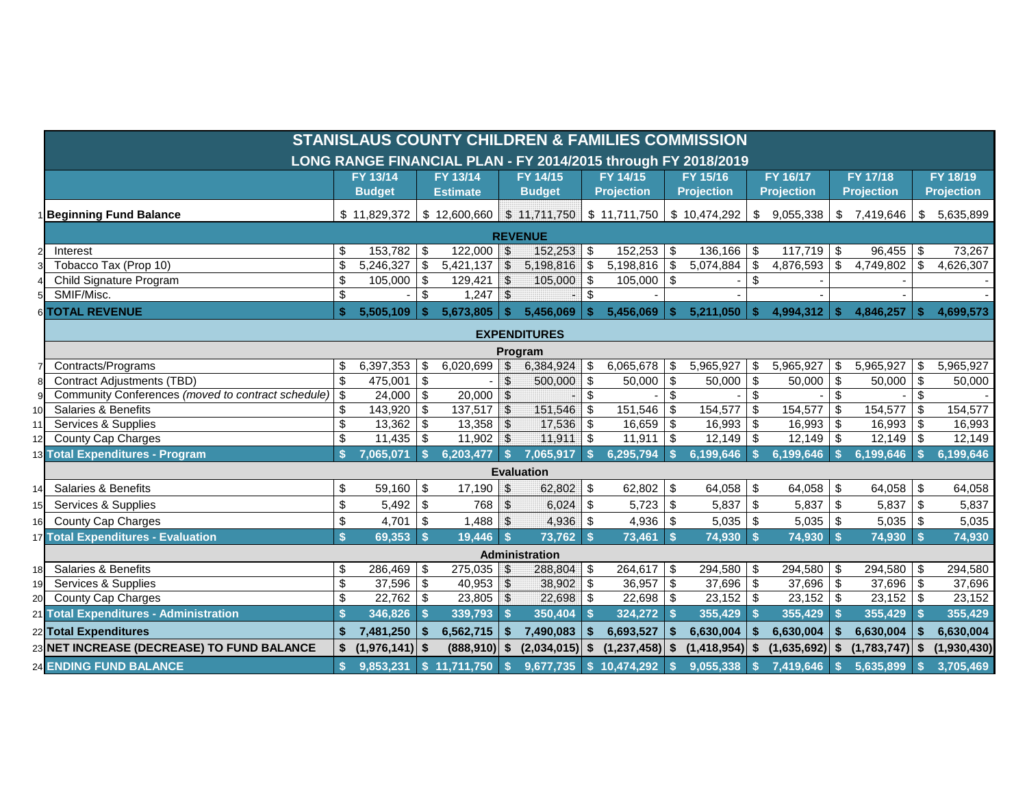|      | <b>STANISLAUS COUNTY CHILDREN &amp; FAMILIES COMMISSION</b>   |          |                  |              |                          |                           |                             |              |                   |                         |                   |                           |                          |                           |                   |                           |                   |  |
|------|---------------------------------------------------------------|----------|------------------|--------------|--------------------------|---------------------------|-----------------------------|--------------|-------------------|-------------------------|-------------------|---------------------------|--------------------------|---------------------------|-------------------|---------------------------|-------------------|--|
|      | LONG RANGE FINANCIAL PLAN - FY 2014/2015 through FY 2018/2019 |          |                  |              |                          |                           |                             |              |                   |                         |                   |                           |                          |                           |                   |                           |                   |  |
|      |                                                               | FY 13/14 |                  |              | FY 13/14                 |                           | FY 14/15                    |              | FY 14/15          |                         | FY 15/16          |                           | FY 16/17                 |                           | FY 17/18          |                           | FY 18/19          |  |
|      |                                                               |          | <b>Budget</b>    |              | <b>Estimate</b>          |                           | <b>Budget</b>               |              | <b>Projection</b> |                         | <b>Projection</b> |                           | <b>Projection</b>        |                           | <b>Projection</b> |                           | <b>Projection</b> |  |
|      | <b>Beginning Fund Balance</b>                                 |          | \$11,829,372     |              | \$12,600,660             |                           | $$11,711,750$ $$11,711,750$ |              |                   |                         | \$10,474,292      | \$                        | 9,055,338                | \$                        | 7,419,646         | \$                        | 5,635,899         |  |
|      | <b>REVENUE</b>                                                |          |                  |              |                          |                           |                             |              |                   |                         |                   |                           |                          |                           |                   |                           |                   |  |
|      | Interest                                                      | \$       | $153,782$ \$     |              | $122,000$ \$             |                           | 152,253                     | -\$          | $152,253$ \$      |                         | 136,166           | \$                        | $\overline{117,719}$ \\$ |                           | 96,455            | \$                        | 73,267            |  |
|      | Tobacco Tax (Prop 10)                                         | \$       | 5,246,327        | $\vert$ \$   | 5,421,137                | $\mathcal{L}$             | 5,198,816                   | -\$          | $5,198,816$ \$    |                         | 5,074,884         | \$                        | 4,876,593                | \$                        | 4,749,802         | \$                        | 4,626,307         |  |
|      | Child Signature Program                                       | \$       | $105,000$ \$     |              | 129,421                  | $\mathfrak{S}$            | 105,000                     | l \$         | $105,000$ \$      |                         |                   | \$                        |                          |                           |                   |                           |                   |  |
|      | SMIF/Misc.                                                    | \$       |                  | \$           | $1,247$ \$               |                           |                             | \$           |                   |                         |                   |                           |                          |                           |                   |                           |                   |  |
|      | 6 TOTAL REVENUE                                               | \$       | 5,505,109        | -S.          | 5,673,805                | S.                        | 5,456,069                   | <b>S</b>     | 5,456,069         | -S                      | 5,211,050         | <b>S</b>                  | 4,994,312                | -S                        | 4,846,257         | \$                        | 4,699,573         |  |
|      | <b>EXPENDITURES</b>                                           |          |                  |              |                          |                           |                             |              |                   |                         |                   |                           |                          |                           |                   |                           |                   |  |
|      |                                                               |          |                  |              |                          |                           | Program                     |              |                   |                         |                   |                           |                          |                           |                   |                           |                   |  |
|      | Contracts/Programs                                            | \$       | 6,397,353        | \$           | 6,020,699                |                           | 6,384,924                   | \$           | 6,065,678         | -\$                     | 5,965,927         | \$                        | 5,965,927                | \$                        | 5,965,927         | \$                        | 5,965,927         |  |
|      | <b>Contract Adjustments (TBD)</b>                             | \$       | 475,001          | \$           |                          | \$                        | 500,000                     | -\$          | 50,000            | \$                      | 50,000            | \$                        | 50,000                   | $\boldsymbol{\mathsf{S}}$ | 50,000            | $\boldsymbol{\mathsf{S}}$ | 50,000            |  |
|      | Community Conferences (moved to contract schedule)            | \$       | $24,000$ \$      |              | 20,000                   | $\mathfrak{S}$            |                             | \$           |                   | $\sqrt[6]{\frac{1}{2}}$ |                   | $\boldsymbol{\mathsf{S}}$ |                          | $\boldsymbol{\mathsf{S}}$ |                   | \$                        |                   |  |
| 10 I | Salaries & Benefits                                           | \$       | $143,920$ \$     |              | 137,517                  | $\mathfrak{L}$            | 151,546                     | -\$          | 151,546           | \$                      | 154,577           | $\sqrt[6]{3}$             | 154,577                  | \$                        | 154,577           | \$                        | 154,577           |  |
|      | Services & Supplies                                           | \$       | $13,362$ \$      |              | 13,358                   | $\sqrt{3}$                | 17,536                      | \$           | 16,659            | \$                      | 16,993            | \$                        | 16,993                   | $\boldsymbol{\mathsf{S}}$ | 16,993            | $\boldsymbol{\mathsf{S}}$ | 16,993            |  |
|      | <b>County Cap Charges</b>                                     | \$       | $11,435$ \$      |              | 11,902                   | $\mathfrak{L}$            | 11,911                      | <b>S</b>     | $11,911$ \$       |                         | 12,149            | -\$                       | 12,149                   | \$                        | 12,149            | \$                        | 12,149            |  |
|      | 13 Total Expenditures - Program                               |          | 7,065,071        | $\mathbf{s}$ | 6,203,477                | $\vert$ s                 | 7,065,917                   | $\mathbf{s}$ | 6,295,794         | -\$                     | 6,199,646         | $\mathbf{s}$              | 6,199,646                | $\mathbf{s}$              | 6.199.646         | $\mathbf{\hat{s}}$        | 6,199,646         |  |
|      |                                                               |          |                  |              |                          |                           | <b>Evaluation</b>           |              |                   |                         |                   |                           |                          |                           |                   |                           |                   |  |
| 14   | <b>Salaries &amp; Benefits</b>                                | \$       | $59,160$ \$      |              | 17,190                   | $\boldsymbol{\mathsf{S}}$ | 62,802                      | -\$          | 62,802            | -\$                     | 64,058            | \$                        | 64,058                   | \$                        | 64,058            | \$                        | 64,058            |  |
|      | Services & Supplies                                           | \$       | $5,492$ \$       |              | 768                      | $\mathfrak{L}$            | 6,024                       | -\$          | 5,723             | - \$                    | 5,837             | \$                        | $5,837$ \$               |                           | 5,837             | \$                        | 5,837             |  |
| 16   | <b>County Cap Charges</b>                                     | \$       | 4,701            | \$           | 1,488                    | $\mathfrak{L}$            | 4,936                       | - \$         | $4,936$ \$        |                         | 5,035             | -\$                       | $5,035$ \$               |                           | 5,035             | \$                        | 5,035             |  |
|      | 17 Total Expenditures - Evaluation                            | S        | $69,353$ \$      |              | 19,446                   | <b>S</b>                  | 73,762                      | -\$          | $73,461$ \$       |                         | 74,930 \$         |                           | 74,930 \$                |                           | 74,930            | $\mathbf{s}$              | 74,930            |  |
|      |                                                               |          |                  |              |                          |                           | Administration              |              |                   |                         |                   |                           |                          |                           |                   |                           |                   |  |
| 18   | <b>Salaries &amp; Benefits</b>                                | \$       | $286,469$ \$     |              | 275,035                  |                           | 288,804                     | -\$          | $264,617$ \$      |                         | 294,580           | -\$                       | $294,580$ \$             |                           | 294,580           | \$                        | 294,580           |  |
| 191  | Services & Supplies                                           | \$       | $37,596$ \$      |              | 40,953                   | $\sqrt{2}$                | 38,902                      | $\sqrt{3}$   | $36,957$ \$       |                         | 37,696            | \$                        | $37,696$ \$              |                           | 37,696            | \$                        | 37,696            |  |
| 20   | County Cap Charges                                            | \$       | $22,762$ \$      |              | 23,805                   | $\mathfrak{F}$            | 22,698                      | -\$          | $22,698$ \$       |                         | 23,152            | \$                        | $23,152$ \$              |                           | $23,152$ \$       |                           | 23,152            |  |
|      | 21 Total Expenditures - Administration                        |          | $346,826$ \$     |              | 339,793                  | <b>S</b>                  | 350,404                     | -\$          | $324,272$ \$      |                         | 355,429           | $\mathbf{s}$              | $355,429$ \$             |                           | 355,429           | <b>S</b>                  | 355,429           |  |
|      | 22 Total Expenditures                                         | \$       | 7,481,250        | $\mathbf{s}$ | 6,562,715                |                           | 7,490,083                   | $\mathbf{s}$ | 6,693,527         | -\$                     | 6,630,004         |                           | 6,630,004                |                           | 6,630,004         |                           | 6,630,004         |  |
|      | 23 NET INCREASE (DECREASE) TO FUND BALANCE                    | \$       | $(1,976,141)$ \$ |              | $(888,910)$ \$           |                           | $(2,034,015)$ \$            |              | $(1,237,458)$ \$  |                         | (1,418,954)       | - 56                      | (1,635,692)              | \$                        | (1,783,747)       | \$                        | (1,930,430)       |  |
|      | <b>24 ENDING FUND BALANCE</b>                                 | S        | 9,853,231        |              | $\frac{1}{2}$ 11,711,750 | $\mathbf{s}$              | 9,677,735                   | $\mathsf{S}$ | 10,474,292        | $\mathbf{s}$            | 9,055,338         |                           | 7,419,646                | <b>S</b>                  | 5,635,899         | \$.                       | 3,705,469         |  |